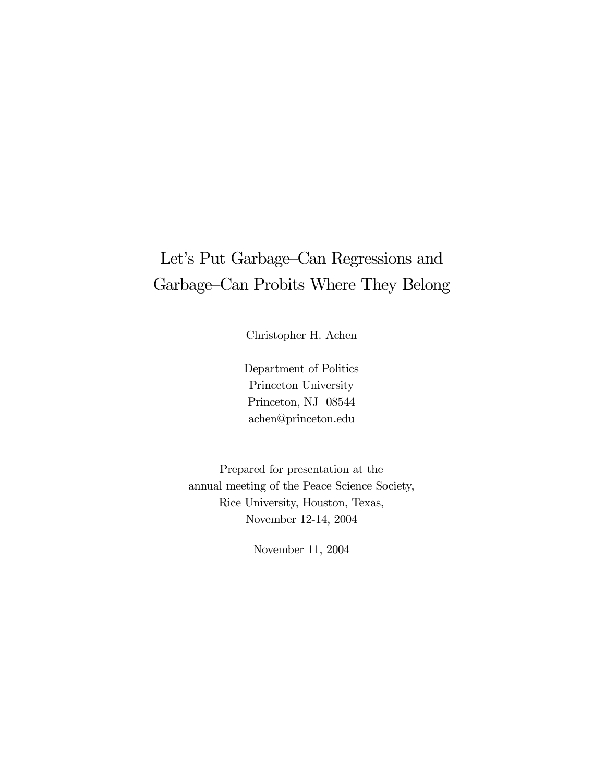# Let's Put Garbage—Can Regressions and Garbage—Can Probits Where They Belong

Christopher H. Achen

Department of Politics Princeton University Princeton, NJ 08544 achen@princeton.edu

Prepared for presentation at the annual meeting of the Peace Science Society, Rice University, Houston, Texas, November 12-14, 2004

November 11, 2004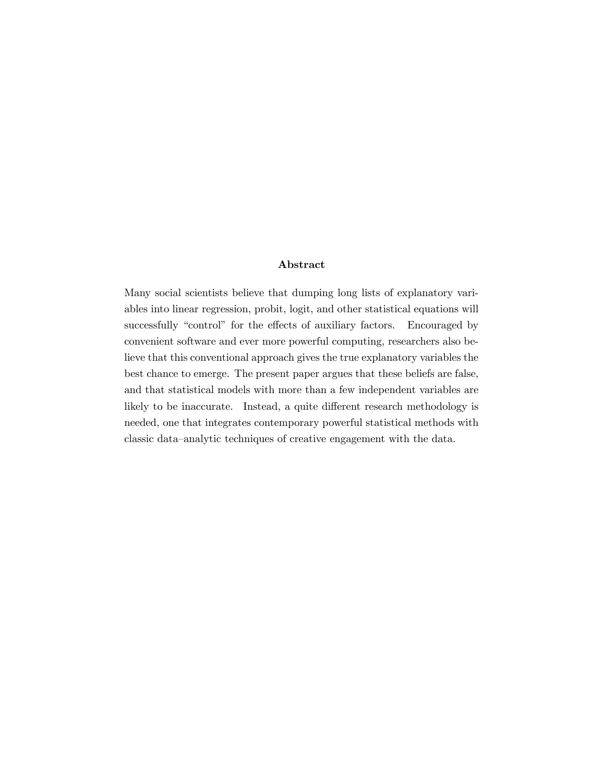#### Abstract

Many social scientists believe that dumping long lists of explanatory variables into linear regression, probit, logit, and other statistical equations will successfully "control" for the effects of auxiliary factors. Encouraged by convenient software and ever more powerful computing, researchers also believe that this conventional approach gives the true explanatory variables the best chance to emerge. The present paper argues that these beliefs are false, and that statistical models with more than a few independent variables are likely to be inaccurate. Instead, a quite different research methodology is needed, one that integrates contemporary powerful statistical methods with classic data—analytic techniques of creative engagement with the data.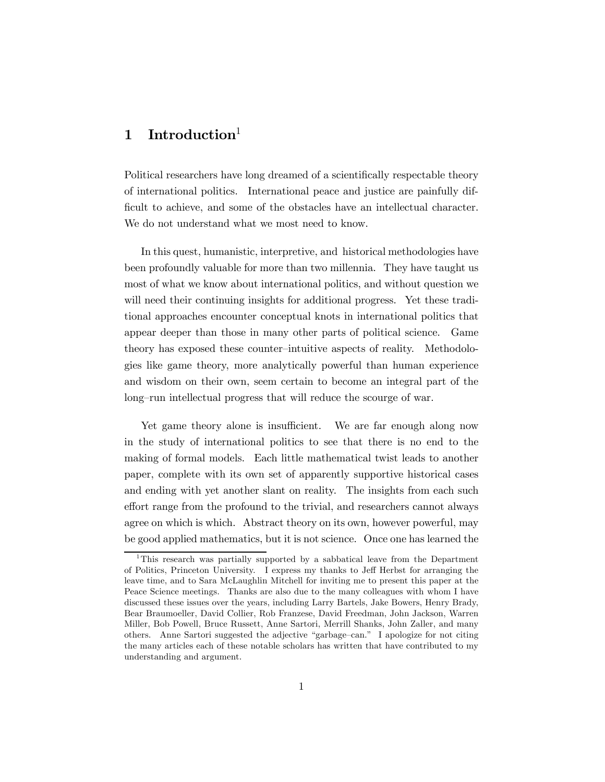# 1 Introduction $1$

Political researchers have long dreamed of a scientifically respectable theory of international politics. International peace and justice are painfully difficult to achieve, and some of the obstacles have an intellectual character. We do not understand what we most need to know.

In this quest, humanistic, interpretive, and historical methodologies have been profoundly valuable for more than two millennia. They have taught us most of what we know about international politics, and without question we will need their continuing insights for additional progress. Yet these traditional approaches encounter conceptual knots in international politics that appear deeper than those in many other parts of political science. Game theory has exposed these counter—intuitive aspects of reality. Methodologies like game theory, more analytically powerful than human experience and wisdom on their own, seem certain to become an integral part of the long—run intellectual progress that will reduce the scourge of war.

Yet game theory alone is insufficient. We are far enough along now in the study of international politics to see that there is no end to the making of formal models. Each little mathematical twist leads to another paper, complete with its own set of apparently supportive historical cases and ending with yet another slant on reality. The insights from each such effort range from the profound to the trivial, and researchers cannot always agree on which is which. Abstract theory on its own, however powerful, may be good applied mathematics, but it is not science. Once one has learned the

<sup>&</sup>lt;sup>1</sup>This research was partially supported by a sabbatical leave from the Department of Politics, Princeton University. I express my thanks to Jeff Herbst for arranging the leave time, and to Sara McLaughlin Mitchell for inviting me to present this paper at the Peace Science meetings. Thanks are also due to the many colleagues with whom I have discussed these issues over the years, including Larry Bartels, Jake Bowers, Henry Brady, Bear Braumoeller, David Collier, Rob Franzese, David Freedman, John Jackson, Warren Miller, Bob Powell, Bruce Russett, Anne Sartori, Merrill Shanks, John Zaller, and many others. Anne Sartori suggested the adjective "garbage—can." I apologize for not citing the many articles each of these notable scholars has written that have contributed to my understanding and argument.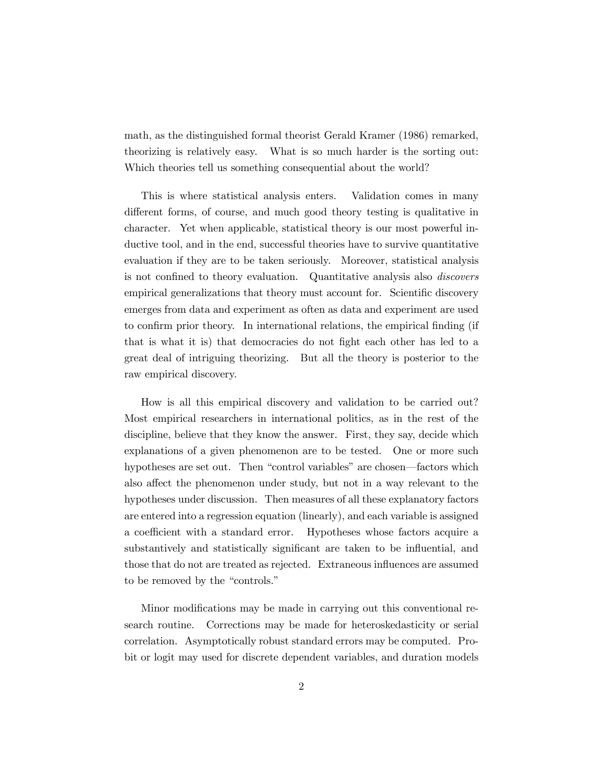math, as the distinguished formal theorist Gerald Kramer (1986) remarked, theorizing is relatively easy. What is so much harder is the sorting out: Which theories tell us something consequential about the world?

This is where statistical analysis enters. Validation comes in many different forms, of course, and much good theory testing is qualitative in character. Yet when applicable, statistical theory is our most powerful inductive tool, and in the end, successful theories have to survive quantitative evaluation if they are to be taken seriously. Moreover, statistical analysis is not confined to theory evaluation. Quantitative analysis also discovers empirical generalizations that theory must account for. Scientific discovery emerges from data and experiment as often as data and experiment are used to confirm prior theory. In international relations, the empirical finding (if that is what it is) that democracies do not fight each other has led to a great deal of intriguing theorizing. But all the theory is posterior to the raw empirical discovery.

How is all this empirical discovery and validation to be carried out? Most empirical researchers in international politics, as in the rest of the discipline, believe that they know the answer. First, they say, decide which explanations of a given phenomenon are to be tested. One or more such hypotheses are set out. Then "control variables" are chosen–factors which also affect the phenomenon under study, but not in a way relevant to the hypotheses under discussion. Then measures of all these explanatory factors are entered into a regression equation (linearly), and each variable is assigned a coefficient with a standard error. Hypotheses whose factors acquire a substantively and statistically significant are taken to be influential, and those that do not are treated as rejected. Extraneous influences are assumed to be removed by the "controls."

Minor modifications may be made in carrying out this conventional research routine. Corrections may be made for heteroskedasticity or serial correlation. Asymptotically robust standard errors may be computed. Probit or logit may used for discrete dependent variables, and duration models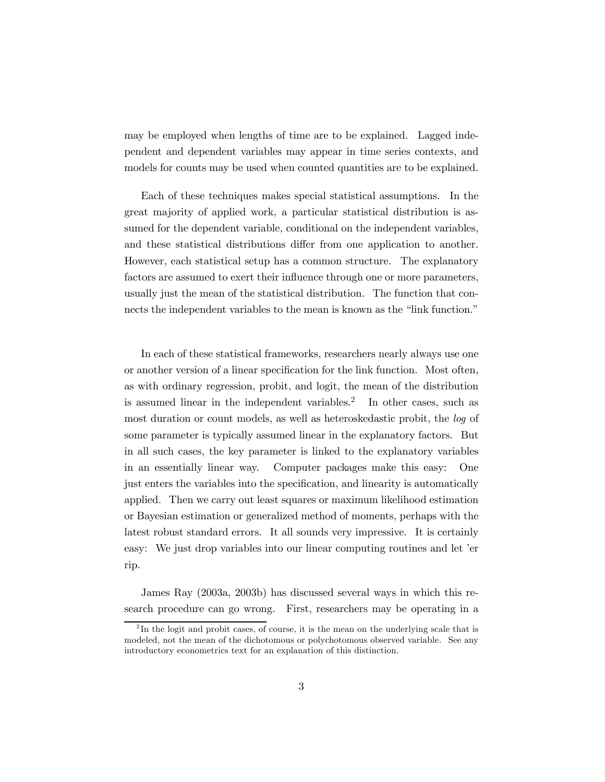may be employed when lengths of time are to be explained. Lagged independent and dependent variables may appear in time series contexts, and models for counts may be used when counted quantities are to be explained.

Each of these techniques makes special statistical assumptions. In the great majority of applied work, a particular statistical distribution is assumed for the dependent variable, conditional on the independent variables, and these statistical distributions differ from one application to another. However, each statistical setup has a common structure. The explanatory factors are assumed to exert their influence through one or more parameters, usually just the mean of the statistical distribution. The function that connects the independent variables to the mean is known as the "link function."

In each of these statistical frameworks, researchers nearly always use one or another version of a linear specification for the link function. Most often, as with ordinary regression, probit, and logit, the mean of the distribution is assumed linear in the independent variables.<sup>2</sup> In other cases, such as most duration or count models, as well as heteroskedastic probit, the log of some parameter is typically assumed linear in the explanatory factors. But in all such cases, the key parameter is linked to the explanatory variables in an essentially linear way. Computer packages make this easy: One just enters the variables into the specification, and linearity is automatically applied. Then we carry out least squares or maximum likelihood estimation or Bayesian estimation or generalized method of moments, perhaps with the latest robust standard errors. It all sounds very impressive. It is certainly easy: We just drop variables into our linear computing routines and let 'er rip.

James Ray (2003a, 2003b) has discussed several ways in which this research procedure can go wrong. First, researchers may be operating in a

 $2 \text{ In the logit and probit cases, of course, it is the mean on the underlying scale that is}$ modeled, not the mean of the dichotomous or polychotomous observed variable. See any introductory econometrics text for an explanation of this distinction.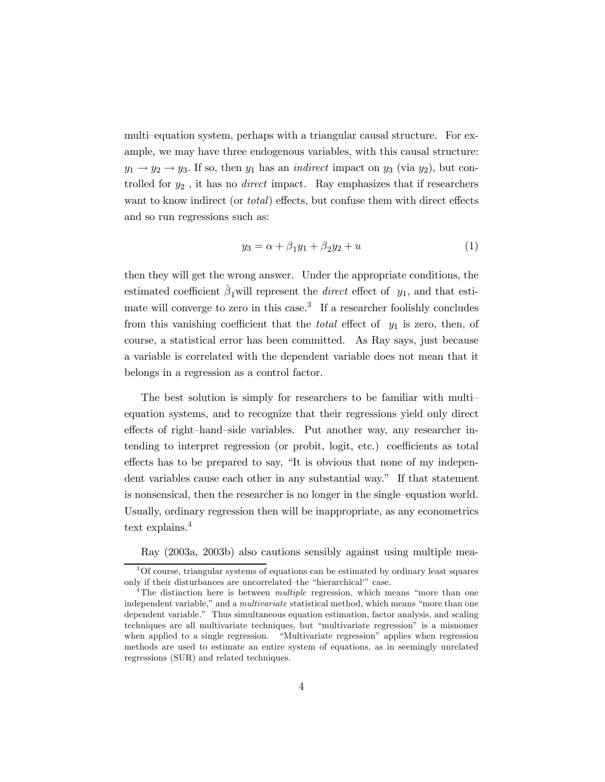multi—equation system, perhaps with a triangular causal structure. For example, we may have three endogenous variables, with this causal structure:  $y_1 \rightarrow y_2 \rightarrow y_3$ . If so, then  $y_1$  has an *indirect* impact on  $y_3$  (via  $y_2$ ), but controlled for  $y_2$ , it has no *direct* impact. Ray emphasizes that if researchers want to know indirect (or *total*) effects, but confuse them with direct effects and so run regressions such as:

$$
y_3 = \alpha + \beta_1 y_1 + \beta_2 y_2 + u \tag{1}
$$

then they will get the wrong answer. Under the appropriate conditions, the estimated coefficient  $\hat{\beta}_1$ will represent the *direct* effect of  $y_1$ , and that estimate will converge to zero in this case.<sup>3</sup> If a researcher foolishly concludes from this vanishing coefficient that the *total* effect of  $y_1$  is zero, then, of course, a statistical error has been committed. As Ray says, just because a variable is correlated with the dependent variable does not mean that it belongs in a regression as a control factor.

The best solution is simply for researchers to be familiar with multi equation systems, and to recognize that their regressions yield only direct effects of right—hand—side variables. Put another way, any researcher intending to interpret regression (or probit, logit, etc.) coefficients as total effects has to be prepared to say, "It is obvious that none of my independent variables cause each other in any substantial way." If that statement is nonsensical, then the researcher is no longer in the single—equation world. Usually, ordinary regression then will be inappropriate, as any econometrics text explains.<sup>4</sup>

Ray (2003a, 2003b) also cautions sensibly against using multiple mea-

<sup>3</sup>Of course, triangular systems of equations can be estimated by ordinary least squares only if their disturbances are uncorrelated—the "hierarchical'" case.

<sup>&</sup>lt;sup>4</sup>The distinction here is between *multiple* regression, which means "more than one independent variable," and a multivariate statistical method, which means "more than one dependent variable." Thus simultaneous equation estimation, factor analysis, and scaling techniques are all multivariate techniques, but "multivariate regression" is a misnomer when applied to a single regression. "Multivariate regression" applies when regression methods are used to estimate an entire system of equations, as in seemingly unrelated regressions (SUR) and related techniques.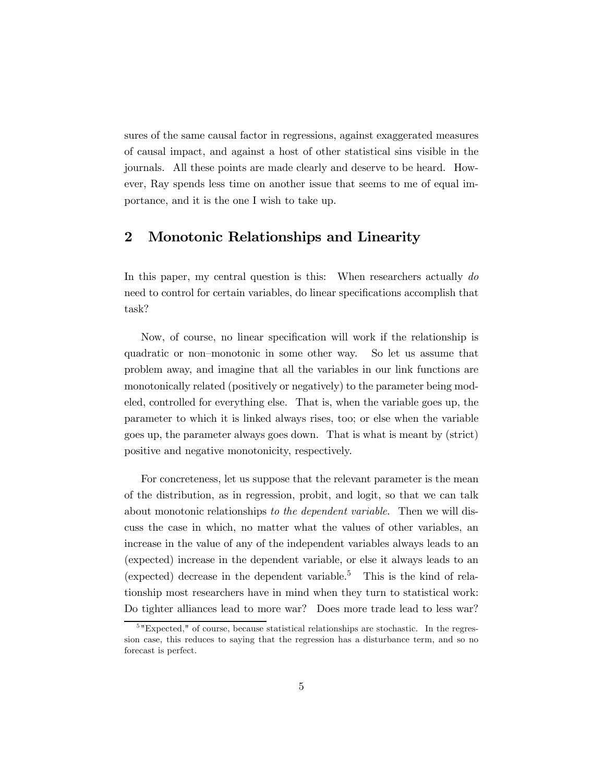sures of the same causal factor in regressions, against exaggerated measures of causal impact, and against a host of other statistical sins visible in the journals. All these points are made clearly and deserve to be heard. However, Ray spends less time on another issue that seems to me of equal importance, and it is the one I wish to take up.

#### 2 Monotonic Relationships and Linearity

In this paper, my central question is this: When researchers actually do need to control for certain variables, do linear specifications accomplish that task?

Now, of course, no linear specification will work if the relationship is quadratic or non—monotonic in some other way. So let us assume that problem away, and imagine that all the variables in our link functions are monotonically related (positively or negatively) to the parameter being modeled, controlled for everything else. That is, when the variable goes up, the parameter to which it is linked always rises, too; or else when the variable goes up, the parameter always goes down. That is what is meant by (strict) positive and negative monotonicity, respectively.

For concreteness, let us suppose that the relevant parameter is the mean of the distribution, as in regression, probit, and logit, so that we can talk about monotonic relationships to the dependent variable. Then we will discuss the case in which, no matter what the values of other variables, an increase in the value of any of the independent variables always leads to an (expected) increase in the dependent variable, or else it always leads to an (expected) decrease in the dependent variable.<sup>5</sup> This is the kind of relationship most researchers have in mind when they turn to statistical work: Do tighter alliances lead to more war? Does more trade lead to less war?

<sup>&</sup>lt;sup>5</sup> "Expected," of course, because statistical relationships are stochastic. In the regression case, this reduces to saying that the regression has a disturbance term, and so no forecast is perfect.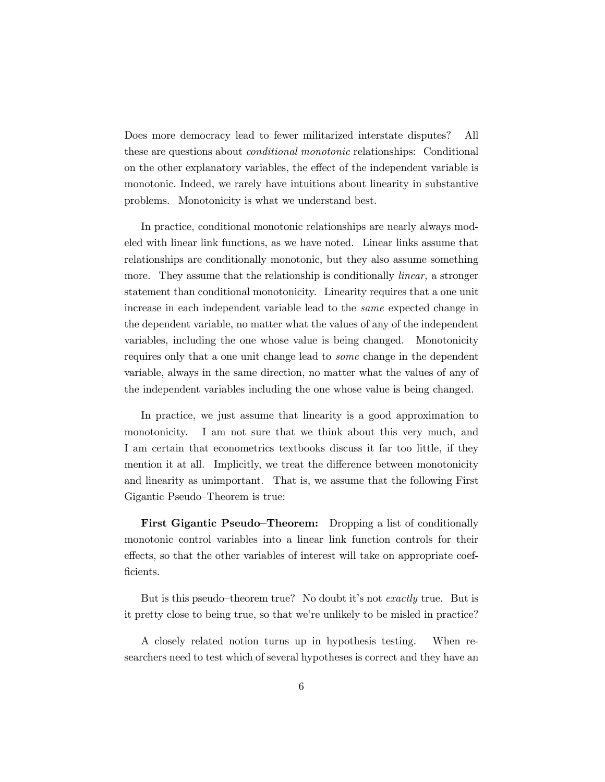Does more democracy lead to fewer militarized interstate disputes? All these are questions about conditional monotonic relationships: Conditional on the other explanatory variables, the effect of the independent variable is monotonic. Indeed, we rarely have intuitions about linearity in substantive problems. Monotonicity is what we understand best.

In practice, conditional monotonic relationships are nearly always modeled with linear link functions, as we have noted. Linear links assume that relationships are conditionally monotonic, but they also assume something more. They assume that the relationship is conditionally *linear*, a stronger statement than conditional monotonicity. Linearity requires that a one unit increase in each independent variable lead to the same expected change in the dependent variable, no matter what the values of any of the independent variables, including the one whose value is being changed. Monotonicity requires only that a one unit change lead to some change in the dependent variable, always in the same direction, no matter what the values of any of the independent variables including the one whose value is being changed.

In practice, we just assume that linearity is a good approximation to monotonicity. I am not sure that we think about this very much, and I am certain that econometrics textbooks discuss it far too little, if they mention it at all. Implicitly, we treat the difference between monotonicity and linearity as unimportant. That is, we assume that the following First Gigantic Pseudo—Theorem is true:

First Gigantic Pseudo–Theorem: Dropping a list of conditionally monotonic control variables into a linear link function controls for their effects, so that the other variables of interest will take on appropriate coefficients.

But is this pseudo–theorem true? No doubt it's not *exactly* true. But is it pretty close to being true, so that we're unlikely to be misled in practice?

A closely related notion turns up in hypothesis testing. When researchers need to test which of several hypotheses is correct and they have an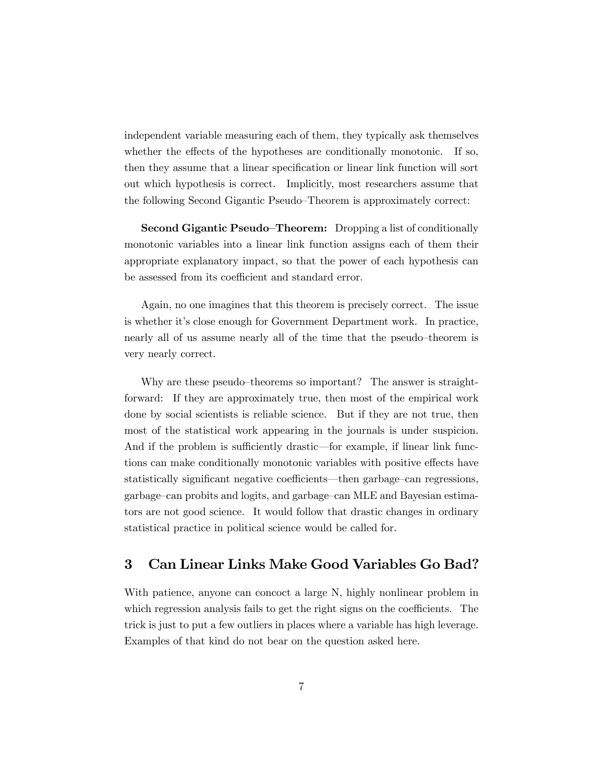independent variable measuring each of them, they typically ask themselves whether the effects of the hypotheses are conditionally monotonic. If so, then they assume that a linear specification or linear link function will sort out which hypothesis is correct. Implicitly, most researchers assume that the following Second Gigantic Pseudo—Theorem is approximately correct:

Second Gigantic Pseudo—Theorem: Dropping a list of conditionally monotonic variables into a linear link function assigns each of them their appropriate explanatory impact, so that the power of each hypothesis can be assessed from its coefficient and standard error.

Again, no one imagines that this theorem is precisely correct. The issue is whether it's close enough for Government Department work. In practice, nearly all of us assume nearly all of the time that the pseudo—theorem is very nearly correct.

Why are these pseudo–theorems so important? The answer is straightforward: If they are approximately true, then most of the empirical work done by social scientists is reliable science. But if they are not true, then most of the statistical work appearing in the journals is under suspicion. And if the problem is sufficiently drastic–for example, if linear link functions can make conditionally monotonic variables with positive effects have statistically significant negative coefficients–then garbage—can regressions, garbage—can probits and logits, and garbage—can MLE and Bayesian estimators are not good science. It would follow that drastic changes in ordinary statistical practice in political science would be called for.

## 3 Can Linear Links Make Good Variables Go Bad?

With patience, anyone can concoct a large N, highly nonlinear problem in which regression analysis fails to get the right signs on the coefficients. The trick is just to put a few outliers in places where a variable has high leverage. Examples of that kind do not bear on the question asked here.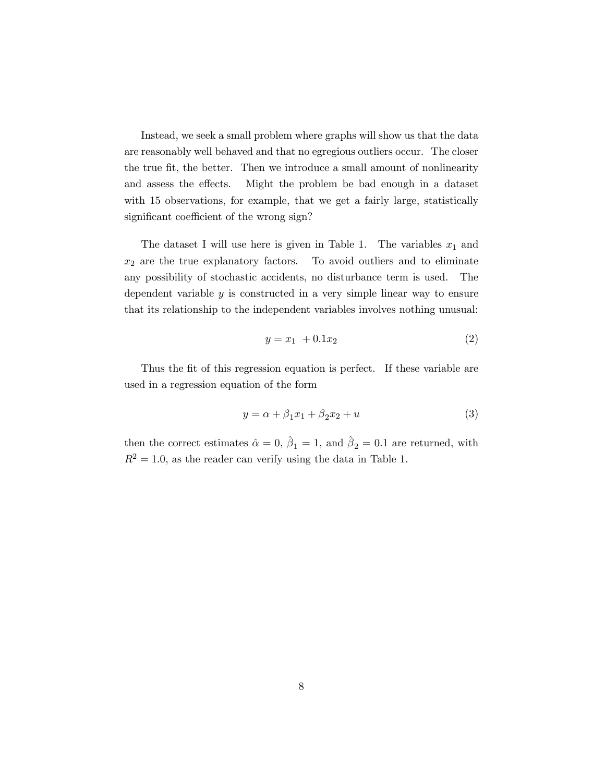Instead, we seek a small problem where graphs will show us that the data are reasonably well behaved and that no egregious outliers occur. The closer the true fit, the better. Then we introduce a small amount of nonlinearity and assess the effects. Might the problem be bad enough in a dataset with 15 observations, for example, that we get a fairly large, statistically significant coefficient of the wrong sign?

The dataset I will use here is given in Table 1. The variables  $x_1$  and  $x_2$  are the true explanatory factors. To avoid outliers and to eliminate any possibility of stochastic accidents, no disturbance term is used. The dependent variable  $y$  is constructed in a very simple linear way to ensure that its relationship to the independent variables involves nothing unusual:

$$
y = x_1 + 0.1x_2 \tag{2}
$$

Thus the fit of this regression equation is perfect. If these variable are used in a regression equation of the form

$$
y = \alpha + \beta_1 x_1 + \beta_2 x_2 + u \tag{3}
$$

then the correct estimates  $\hat{\alpha} = 0$ ,  $\hat{\beta}_1 = 1$ , and  $\hat{\beta}_2 = 0.1$  are returned, with  $R^2 = 1.0$ , as the reader can verify using the data in Table 1.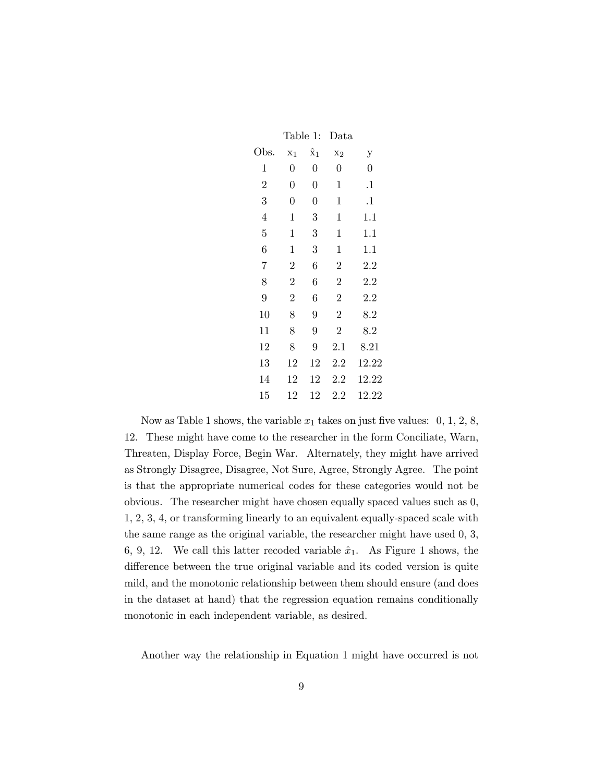|                | Table 1:       |                      | Data           |                |  |
|----------------|----------------|----------------------|----------------|----------------|--|
| Obs.           | X <sub>1</sub> | $\hat{\mathrm{x}}_1$ | $x_2$          | у              |  |
| 1              | $\overline{0}$ | 0                    | $\overline{0}$ | $\overline{0}$ |  |
| $\overline{2}$ | $\overline{0}$ | $\boldsymbol{0}$     | 1              | $^{1}$         |  |
| 3              | $\overline{0}$ | 0                    | 1              | $^{1}$         |  |
| $\overline{4}$ | $\mathbf 1$    | 3                    | $\mathbf 1$    | 1.1            |  |
| 5              | $\mathbf 1$    | 3                    | $\mathbf 1$    | 1.1            |  |
| 6              | $\mathbf 1$    | 3                    | $\mathbf 1$    | 1.1            |  |
| 7              | $\overline{2}$ | 6                    | $\overline{2}$ | 2.2            |  |
| 8              | $\overline{2}$ | 6                    | $\overline{2}$ | 2.2            |  |
| $\overline{9}$ | $\overline{2}$ | 6                    | $\overline{2}$ | 2.2            |  |
| 10             | 8              | 9                    | $\overline{2}$ | 8.2            |  |
| 11             | 8              | 9                    | $\overline{2}$ | 8.2            |  |
| 12             | 8              | 9                    | 2.1            | 8.21           |  |
| 13             | 12             | 12                   | 2.2            | 12.22          |  |
| 14             | 12             | 12                   | 2.2            | 12.22          |  |
| 15             | 12             | 12                   | $2.2\,$        | 12.22          |  |

Now as Table 1 shows, the variable  $x_1$  takes on just five values:  $0, 1, 2, 8$ , 12. These might have come to the researcher in the form Conciliate, Warn, Threaten, Display Force, Begin War. Alternately, they might have arrived as Strongly Disagree, Disagree, Not Sure, Agree, Strongly Agree. The point is that the appropriate numerical codes for these categories would not be obvious. The researcher might have chosen equally spaced values such as 0, 1, 2, 3, 4, or transforming linearly to an equivalent equally-spaced scale with the same range as the original variable, the researcher might have used 0, 3, 6, 9, 12. We call this latter recoded variable  $\hat{x}_1$ . As Figure 1 shows, the difference between the true original variable and its coded version is quite mild, and the monotonic relationship between them should ensure (and does in the dataset at hand) that the regression equation remains conditionally monotonic in each independent variable, as desired.

Another way the relationship in Equation 1 might have occurred is not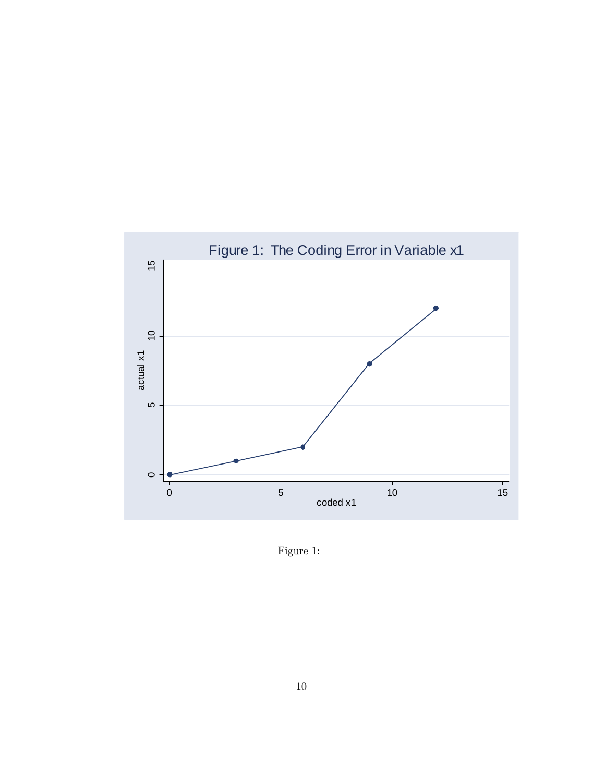

Figure 1: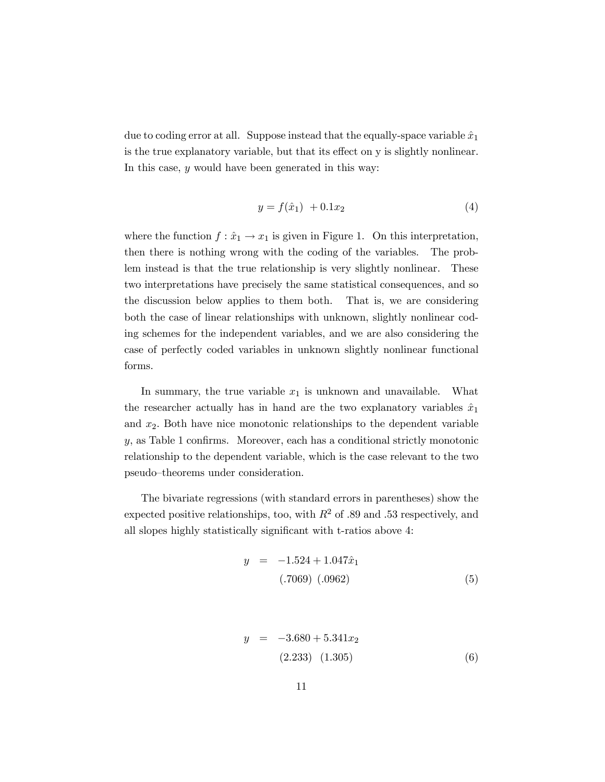due to coding error at all. Suppose instead that the equally-space variable  $\hat{x}_1$ is the true explanatory variable, but that its effect on y is slightly nonlinear. In this case, y would have been generated in this way:

$$
y = f(\hat{x}_1) + 0.1x_2 \tag{4}
$$

where the function  $f: \hat{x}_1 \to x_1$  is given in Figure 1. On this interpretation, then there is nothing wrong with the coding of the variables. The problem instead is that the true relationship is very slightly nonlinear. These two interpretations have precisely the same statistical consequences, and so the discussion below applies to them both. That is, we are considering both the case of linear relationships with unknown, slightly nonlinear coding schemes for the independent variables, and we are also considering the case of perfectly coded variables in unknown slightly nonlinear functional forms.

In summary, the true variable  $x_1$  is unknown and unavailable. What the researcher actually has in hand are the two explanatory variables  $\hat{x}_1$ and  $x_2$ . Both have nice monotonic relationships to the dependent variable y, as Table 1 confirms. Moreover, each has a conditional strictly monotonic relationship to the dependent variable, which is the case relevant to the two pseudo—theorems under consideration.

The bivariate regressions (with standard errors in parentheses) show the expected positive relationships, too, with  $R^2$  of .89 and .53 respectively, and all slopes highly statistically significant with t-ratios above 4:

$$
y = -1.524 + 1.047\hat{x}_1
$$
  
(.7069) (.0962) (5)

$$
y = -3.680 + 5.341x_2
$$
  
(2.233) (1.305) (6)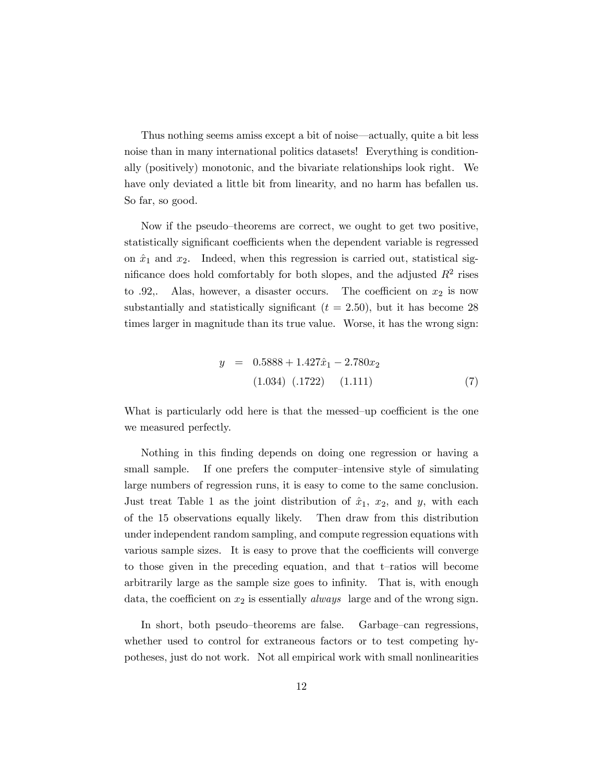Thus nothing seems amiss except a bit of noise–actually, quite a bit less noise than in many international politics datasets! Everything is conditionally (positively) monotonic, and the bivariate relationships look right. We have only deviated a little bit from linearity, and no harm has befallen us. So far, so good.

Now if the pseudo—theorems are correct, we ought to get two positive, statistically significant coefficients when the dependent variable is regressed on  $\hat{x}_1$  and  $x_2$ . Indeed, when this regression is carried out, statistical significance does hold comfortably for both slopes, and the adjusted  $R^2$  rises to .92,. Alas, however, a disaster occurs. The coefficient on  $x_2$  is now substantially and statistically significant  $(t = 2.50)$ , but it has become 28 times larger in magnitude than its true value. Worse, it has the wrong sign:

$$
y = 0.5888 + 1.427\hat{x}_1 - 2.780x_2
$$
  
(1.034) (.1722) (1.111) (7)

What is particularly odd here is that the messed—up coefficient is the one we measured perfectly.

Nothing in this finding depends on doing one regression or having a small sample. If one prefers the computer—intensive style of simulating large numbers of regression runs, it is easy to come to the same conclusion. Just treat Table 1 as the joint distribution of  $\hat{x}_1$ ,  $x_2$ , and y, with each of the 15 observations equally likely. Then draw from this distribution under independent random sampling, and compute regression equations with various sample sizes. It is easy to prove that the coefficients will converge to those given in the preceding equation, and that t—ratios will become arbitrarily large as the sample size goes to infinity. That is, with enough data, the coefficient on  $x_2$  is essentially *always* large and of the wrong sign.

In short, both pseudo—theorems are false. Garbage—can regressions, whether used to control for extraneous factors or to test competing hypotheses, just do not work. Not all empirical work with small nonlinearities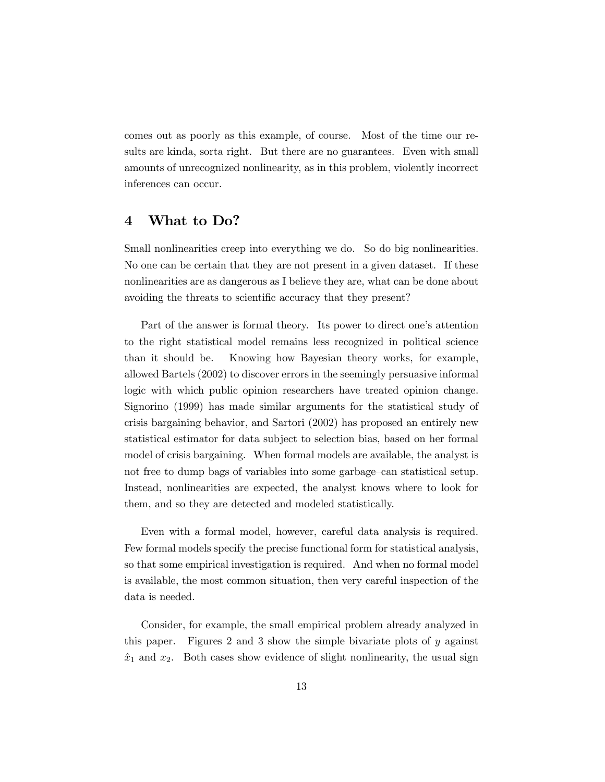comes out as poorly as this example, of course. Most of the time our results are kinda, sorta right. But there are no guarantees. Even with small amounts of unrecognized nonlinearity, as in this problem, violently incorrect inferences can occur.

#### 4 What to Do?

Small nonlinearities creep into everything we do. So do big nonlinearities. No one can be certain that they are not present in a given dataset. If these nonlinearities are as dangerous as I believe they are, what can be done about avoiding the threats to scientific accuracy that they present?

Part of the answer is formal theory. Its power to direct one's attention to the right statistical model remains less recognized in political science than it should be. Knowing how Bayesian theory works, for example, allowed Bartels (2002) to discover errors in the seemingly persuasive informal logic with which public opinion researchers have treated opinion change. Signorino (1999) has made similar arguments for the statistical study of crisis bargaining behavior, and Sartori (2002) has proposed an entirely new statistical estimator for data subject to selection bias, based on her formal model of crisis bargaining. When formal models are available, the analyst is not free to dump bags of variables into some garbage—can statistical setup. Instead, nonlinearities are expected, the analyst knows where to look for them, and so they are detected and modeled statistically.

Even with a formal model, however, careful data analysis is required. Few formal models specify the precise functional form for statistical analysis, so that some empirical investigation is required. And when no formal model is available, the most common situation, then very careful inspection of the data is needed.

Consider, for example, the small empirical problem already analyzed in this paper. Figures 2 and 3 show the simple bivariate plots of y against  $\hat{x}_1$  and  $x_2$ . Both cases show evidence of slight nonlinearity, the usual sign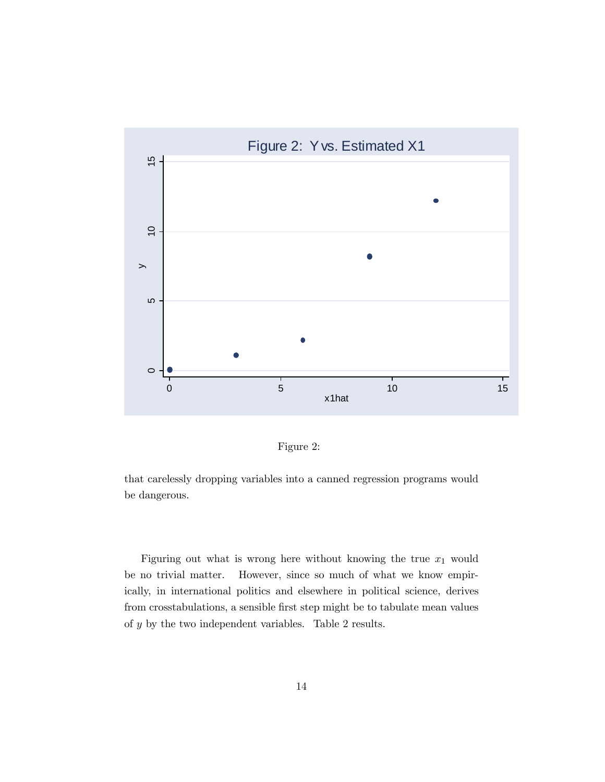



that carelessly dropping variables into a canned regression programs would be dangerous.

Figuring out what is wrong here without knowing the true  $x_1$  would be no trivial matter. However, since so much of what we know empirically, in international politics and elsewhere in political science, derives from crosstabulations, a sensible first step might be to tabulate mean values of y by the two independent variables. Table 2 results.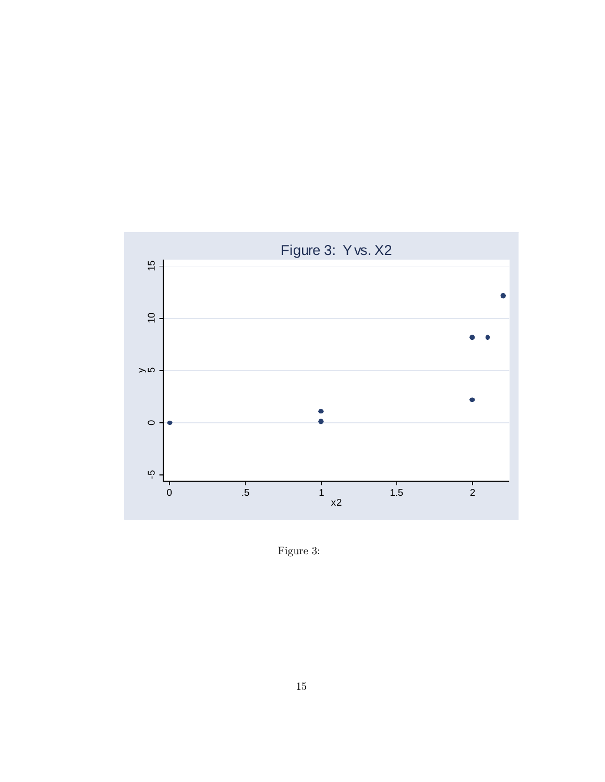

Figure 3: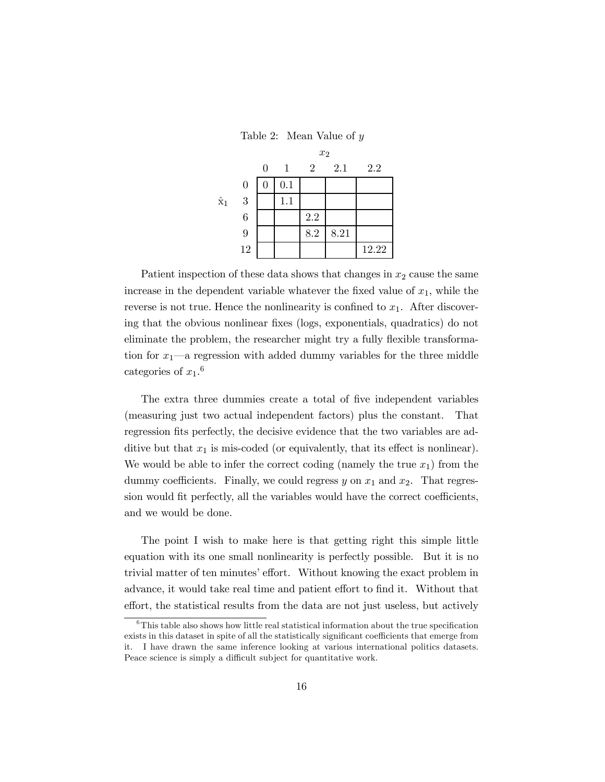Table 2: Mean Value of y

|             |                  | $x_2$    |              |                |      |       |  |  |
|-------------|------------------|----------|--------------|----------------|------|-------|--|--|
|             |                  | 0        | $\mathbf{1}$ | $\overline{2}$ | 2.1  | 2.2   |  |  |
|             | $\boldsymbol{0}$ | $\theta$ | 0.1          |                |      |       |  |  |
| $\hat{x}_1$ | 3                |          | 1.1          |                |      |       |  |  |
|             | $\boldsymbol{6}$ |          |              | 2.2            |      |       |  |  |
|             | 9                |          |              | 8.2            | 8.21 |       |  |  |
|             | 12               |          |              |                |      | 12.22 |  |  |

Patient inspection of these data shows that changes in  $x_2$  cause the same increase in the dependent variable whatever the fixed value of  $x_1$ , while the reverse is not true. Hence the nonlinearity is confined to  $x_1$ . After discovering that the obvious nonlinear fixes (logs, exponentials, quadratics) do not eliminate the problem, the researcher might try a fully flexible transformation for  $x_1$ —a regression with added dummy variables for the three middle categories of  $x_1$ .<sup>6</sup>

The extra three dummies create a total of five independent variables (measuring just two actual independent factors) plus the constant. That regression fits perfectly, the decisive evidence that the two variables are additive but that  $x_1$  is mis-coded (or equivalently, that its effect is nonlinear). We would be able to infer the correct coding (namely the true  $x_1$ ) from the dummy coefficients. Finally, we could regress  $y$  on  $x_1$  and  $x_2$ . That regression would fit perfectly, all the variables would have the correct coefficients, and we would be done.

The point I wish to make here is that getting right this simple little equation with its one small nonlinearity is perfectly possible. But it is no trivial matter of ten minutes' effort. Without knowing the exact problem in advance, it would take real time and patient effort to find it. Without that effort, the statistical results from the data are not just useless, but actively

 $6$ This table also shows how little real statistical information about the true specification exists in this dataset in spite of all the statistically significant coefficients that emerge from it. I have drawn the same inference looking at various international politics datasets. Peace science is simply a difficult subject for quantitative work.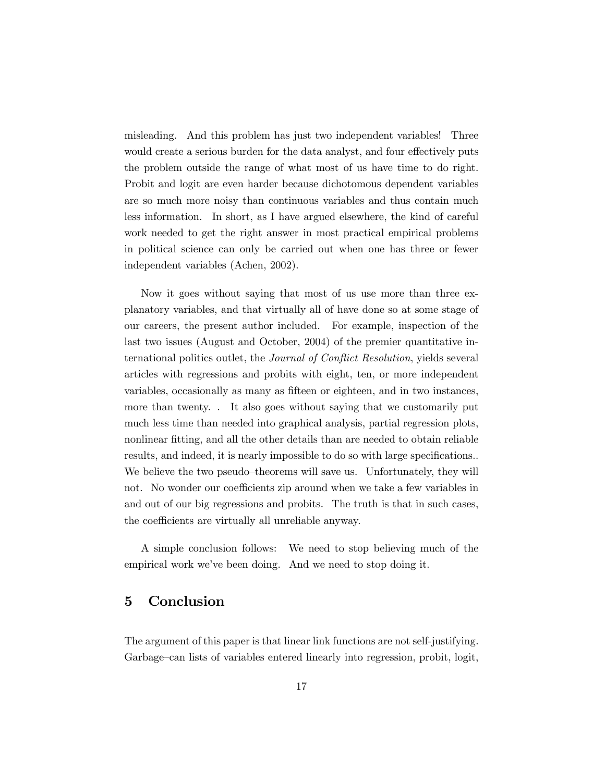misleading. And this problem has just two independent variables! Three would create a serious burden for the data analyst, and four effectively puts the problem outside the range of what most of us have time to do right. Probit and logit are even harder because dichotomous dependent variables are so much more noisy than continuous variables and thus contain much less information. In short, as I have argued elsewhere, the kind of careful work needed to get the right answer in most practical empirical problems in political science can only be carried out when one has three or fewer independent variables (Achen, 2002).

Now it goes without saying that most of us use more than three explanatory variables, and that virtually all of have done so at some stage of our careers, the present author included. For example, inspection of the last two issues (August and October, 2004) of the premier quantitative international politics outlet, the Journal of Conflict Resolution, yields several articles with regressions and probits with eight, ten, or more independent variables, occasionally as many as fifteen or eighteen, and in two instances, more than twenty. . It also goes without saying that we customarily put much less time than needed into graphical analysis, partial regression plots, nonlinear fitting, and all the other details than are needed to obtain reliable results, and indeed, it is nearly impossible to do so with large specifications.. We believe the two pseudo–theorems will save us. Unfortunately, they will not. No wonder our coefficients zip around when we take a few variables in and out of our big regressions and probits. The truth is that in such cases, the coefficients are virtually all unreliable anyway.

A simple conclusion follows: We need to stop believing much of the empirical work we've been doing. And we need to stop doing it.

## 5 Conclusion

The argument of this paper is that linear link functions are not self-justifying. Garbage—can lists of variables entered linearly into regression, probit, logit,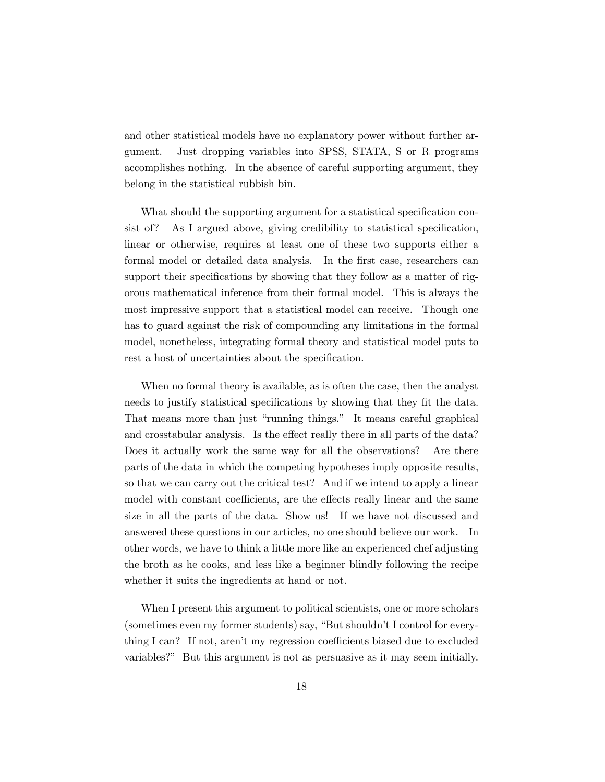and other statistical models have no explanatory power without further argument. Just dropping variables into SPSS, STATA, S or R programs accomplishes nothing. In the absence of careful supporting argument, they belong in the statistical rubbish bin.

What should the supporting argument for a statistical specification consist of? As I argued above, giving credibility to statistical specification, linear or otherwise, requires at least one of these two supports—either a formal model or detailed data analysis. In the first case, researchers can support their specifications by showing that they follow as a matter of rigorous mathematical inference from their formal model. This is always the most impressive support that a statistical model can receive. Though one has to guard against the risk of compounding any limitations in the formal model, nonetheless, integrating formal theory and statistical model puts to rest a host of uncertainties about the specification.

When no formal theory is available, as is often the case, then the analyst needs to justify statistical specifications by showing that they fit the data. That means more than just "running things." It means careful graphical and crosstabular analysis. Is the effect really there in all parts of the data? Does it actually work the same way for all the observations? Are there parts of the data in which the competing hypotheses imply opposite results, so that we can carry out the critical test? And if we intend to apply a linear model with constant coefficients, are the effects really linear and the same size in all the parts of the data. Show us! If we have not discussed and answered these questions in our articles, no one should believe our work. In other words, we have to think a little more like an experienced chef adjusting the broth as he cooks, and less like a beginner blindly following the recipe whether it suits the ingredients at hand or not.

When I present this argument to political scientists, one or more scholars (sometimes even my former students) say, "But shouldn't I control for everything I can? If not, aren't my regression coefficients biased due to excluded variables?" But this argument is not as persuasive as it may seem initially.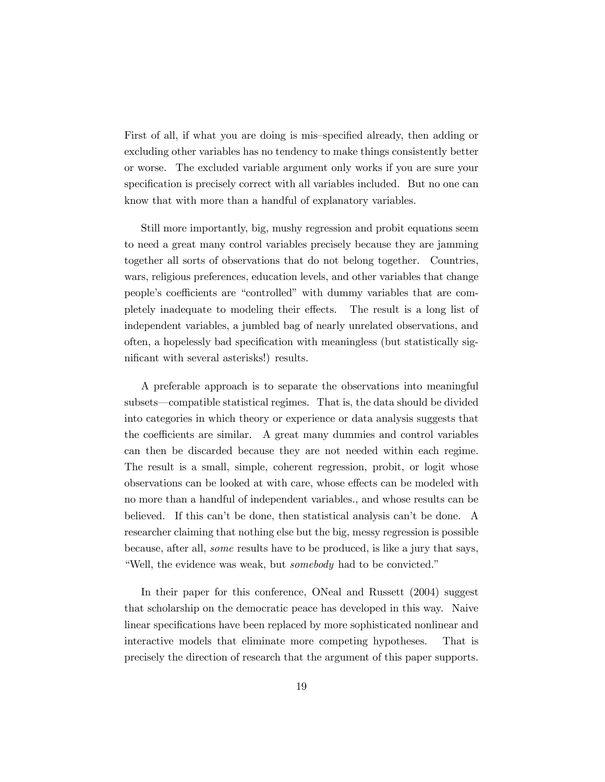First of all, if what you are doing is mis—specified already, then adding or excluding other variables has no tendency to make things consistently better or worse. The excluded variable argument only works if you are sure your specification is precisely correct with all variables included. But no one can know that with more than a handful of explanatory variables.

Still more importantly, big, mushy regression and probit equations seem to need a great many control variables precisely because they are jamming together all sorts of observations that do not belong together. Countries, wars, religious preferences, education levels, and other variables that change people's coefficients are "controlled" with dummy variables that are completely inadequate to modeling their effects. The result is a long list of independent variables, a jumbled bag of nearly unrelated observations, and often, a hopelessly bad specification with meaningless (but statistically significant with several asterisks!) results.

A preferable approach is to separate the observations into meaningful subsets–compatible statistical regimes. That is, the data should be divided into categories in which theory or experience or data analysis suggests that the coefficients are similar. A great many dummies and control variables can then be discarded because they are not needed within each regime. The result is a small, simple, coherent regression, probit, or logit whose observations can be looked at with care, whose effects can be modeled with no more than a handful of independent variables., and whose results can be believed. If this can't be done, then statistical analysis can't be done. A researcher claiming that nothing else but the big, messy regression is possible because, after all, some results have to be produced, is like a jury that says, "Well, the evidence was weak, but somebody had to be convicted."

In their paper for this conference, ONeal and Russett (2004) suggest that scholarship on the democratic peace has developed in this way. Naive linear specifications have been replaced by more sophisticated nonlinear and interactive models that eliminate more competing hypotheses. That is precisely the direction of research that the argument of this paper supports.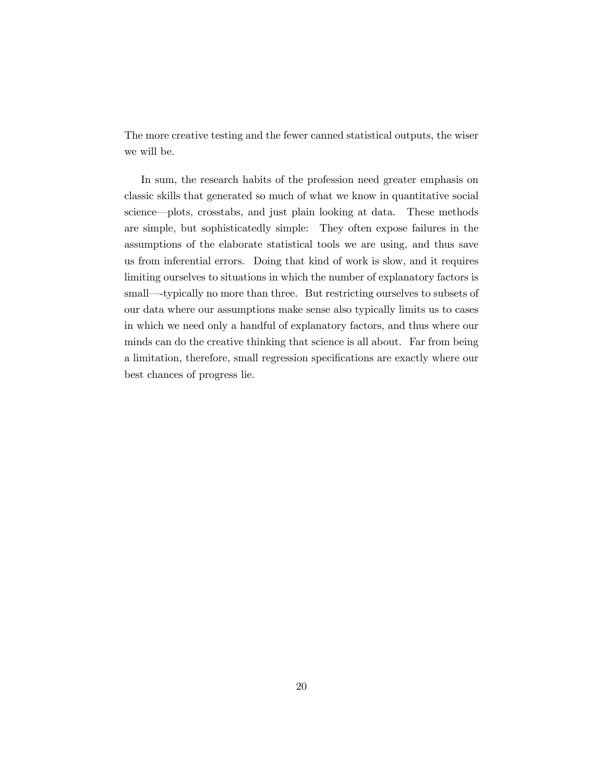The more creative testing and the fewer canned statistical outputs, the wiser we will be.

In sum, the research habits of the profession need greater emphasis on classic skills that generated so much of what we know in quantitative social science–plots, crosstabs, and just plain looking at data. These methods are simple, but sophisticatedly simple: They often expose failures in the assumptions of the elaborate statistical tools we are using, and thus save us from inferential errors. Doing that kind of work is slow, and it requires limiting ourselves to situations in which the number of explanatory factors is small—typically no more than three. But restricting ourselves to subsets of our data where our assumptions make sense also typically limits us to cases in which we need only a handful of explanatory factors, and thus where our minds can do the creative thinking that science is all about. Far from being a limitation, therefore, small regression specifications are exactly where our best chances of progress lie.